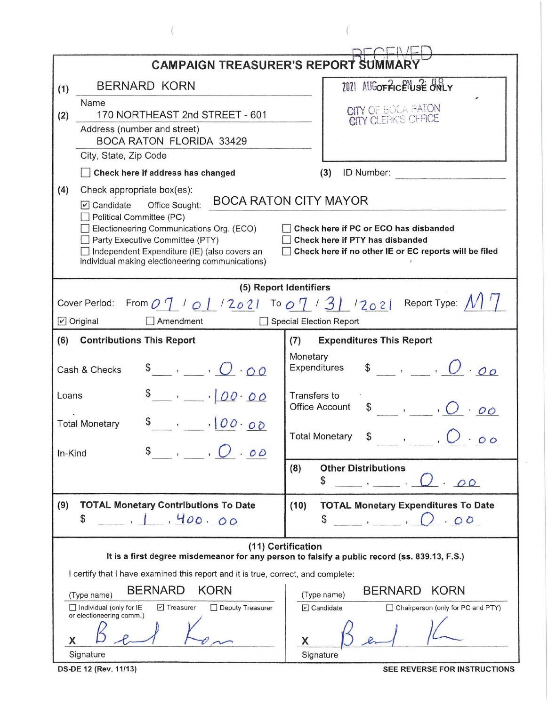|                                                                                                                                                                                                                                                                                                                                                                                                                                                                      | <b>CAMPAIGN TREASURER'S REPORT SUMMARY</b>                                                                          |  |  |  |  |
|----------------------------------------------------------------------------------------------------------------------------------------------------------------------------------------------------------------------------------------------------------------------------------------------------------------------------------------------------------------------------------------------------------------------------------------------------------------------|---------------------------------------------------------------------------------------------------------------------|--|--|--|--|
| <b>BERNARD KORN</b><br>(1)                                                                                                                                                                                                                                                                                                                                                                                                                                           | 2021 AUGOFFICENUSE ONLY                                                                                             |  |  |  |  |
| Name<br>170 NORTHEAST 2nd STREET - 601<br>(2)                                                                                                                                                                                                                                                                                                                                                                                                                        | CITY OF BOCA FATON                                                                                                  |  |  |  |  |
| Address (number and street)<br><b>BOCA RATON FLORIDA 33429</b>                                                                                                                                                                                                                                                                                                                                                                                                       |                                                                                                                     |  |  |  |  |
| City, State, Zip Code                                                                                                                                                                                                                                                                                                                                                                                                                                                |                                                                                                                     |  |  |  |  |
| Check here if address has changed                                                                                                                                                                                                                                                                                                                                                                                                                                    | ID Number:<br>(3)                                                                                                   |  |  |  |  |
| (4)<br>Check appropriate box(es):<br><b>BOCA RATON CITY MAYOR</b><br>Office Sought:<br>$\triangledown$ Candidate<br>Political Committee (PC)<br>Electioneering Communications Org. (ECO)<br>Check here if PC or ECO has disbanded<br>Party Executive Committee (PTY)<br>Check here if PTY has disbanded<br>Independent Expenditure (IE) (also covers an<br>Check here if no other IE or EC reports will be filed<br>individual making electioneering communications) |                                                                                                                     |  |  |  |  |
| Cover Period:<br>$\triangleright$ Original<br>$\Box$ Amendment                                                                                                                                                                                                                                                                                                                                                                                                       | (5) Report Identifiers<br>From $O(1 / 0.1 / 20.2)$ To $O(1 / 3) / 20.2$ Report Type: $N$<br>Special Election Report |  |  |  |  |
| (6)<br><b>Contributions This Report</b>                                                                                                                                                                                                                                                                                                                                                                                                                              | <b>Expenditures This Report</b><br>(7)                                                                              |  |  |  |  |
| $\bullet$ , $\bullet$ , $\bullet$<br>Cash & Checks                                                                                                                                                                                                                                                                                                                                                                                                                   | Monetary<br>$\int$ , $\int$ , $\int$<br>Expenditures                                                                |  |  |  |  |
| $\frac{1}{2}$ , $\frac{1}{200}$<br>Loans                                                                                                                                                                                                                                                                                                                                                                                                                             | Transfers to<br><b>Office Account</b><br>\$                                                                         |  |  |  |  |
| $\int$ , $100.00$<br><b>Total Monetary</b><br>$\frac{1}{2}$ , $\frac{1}{2}$ , $\frac{1}{2}$<br>In-Kind                                                                                                                                                                                                                                                                                                                                                               | <b>Total Monetary</b><br>$\cdot$ 00                                                                                 |  |  |  |  |
|                                                                                                                                                                                                                                                                                                                                                                                                                                                                      | <b>Other Distributions</b><br>(8)<br>\$<br>OQ                                                                       |  |  |  |  |
| (9)<br><b>TOTAL Monetary Contributions To Date</b><br>1, 400, 00<br>\$                                                                                                                                                                                                                                                                                                                                                                                               | <b>TOTAL Monetary Expenditures To Date</b><br>(10)<br>\$<br>2.00                                                    |  |  |  |  |
|                                                                                                                                                                                                                                                                                                                                                                                                                                                                      | (11) Certification<br>It is a first degree misdemeanor for any person to falsify a public record (ss. 839.13, F.S.) |  |  |  |  |
| I certify that I have examined this report and it is true, correct, and complete:                                                                                                                                                                                                                                                                                                                                                                                    |                                                                                                                     |  |  |  |  |
| <b>BERNARD</b><br><b>KORN</b><br><b>BERNARD</b><br><b>KORN</b><br>(Type name)<br>(Type name)                                                                                                                                                                                                                                                                                                                                                                         |                                                                                                                     |  |  |  |  |
| $\Box$ Individual (only for IE<br>$\triangleright$ Treasurer<br>Deputy Treasurer<br>or electioneering comm.)                                                                                                                                                                                                                                                                                                                                                         | $\Box$ Candidate<br>Chairperson (only for PC and PTY)                                                               |  |  |  |  |
| X<br>Signature                                                                                                                                                                                                                                                                                                                                                                                                                                                       | X<br>Signature                                                                                                      |  |  |  |  |

 $\left($ 

 $\left($ 

**DS-DE 12 (Rev. 11/13)** 

SEE REVERSE FOR INSTRUCTIONS